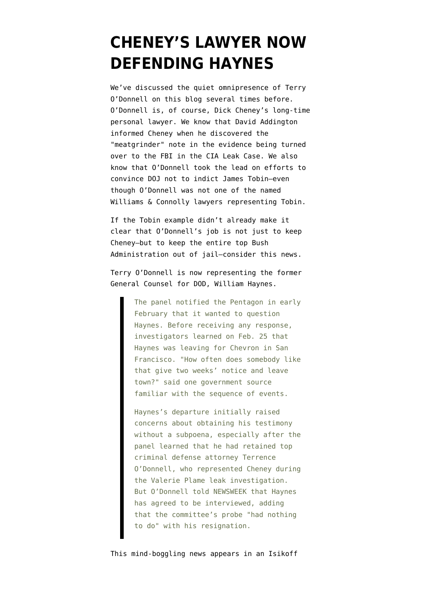## **[CHENEY'S LAWYER NOW](https://www.emptywheel.net/2008/04/07/cheneys-lawyer-now-defending-haynes/) [DEFENDING HAYNES](https://www.emptywheel.net/2008/04/07/cheneys-lawyer-now-defending-haynes/)**

We've discussed the quiet omnipresence of Terry O'Donnell on this blog several times before. O'Donnell is, of course, Dick Cheney's long-time personal lawyer. We know that David Addington informed Cheney when he discovered the "[meatgrinder](http://emptywheel.firedoglake.com/files/28/files//2008/04/gx53201-libby-sonnet.pdf)" note in the evidence being turned over to the FBI in the CIA Leak Case. We also know that O'Donnell [took the lead](http://emptywheel.firedoglake.com/2007/12/20/dick-cheneys-lawyer-spikes-the-phone-jamming-case/) on efforts to convince DOJ not to indict James Tobin–even though O'Donnell was not one of the named Williams & Connolly lawyers representing Tobin.

If the Tobin example didn't already make it clear that O'Donnell's job is not just to keep Cheney–but to keep the entire top Bush Administration out of jail–consider this news.

Terry O'Donnell [is now representing](http://www.newsweek.com/id/130611) the former General Counsel for DOD, William Haynes.

> The panel notified the Pentagon in early February that it wanted to question Haynes. Before receiving any response, investigators learned on Feb. 25 that Haynes was leaving for Chevron in San Francisco. "How often does somebody like that give two weeks' notice and leave town?" said one government source familiar with the sequence of events.

> Haynes's departure initially raised concerns about obtaining his testimony without a subpoena, especially after the panel learned that he had retained top criminal defense attorney Terrence O'Donnell, who represented Cheney during the Valerie Plame leak investigation. But O'Donnell told NEWSWEEK that Haynes has agreed to be interviewed, adding that the committee's probe "had nothing to do" with his resignation.

This mind-boggling news appears in an Isikoff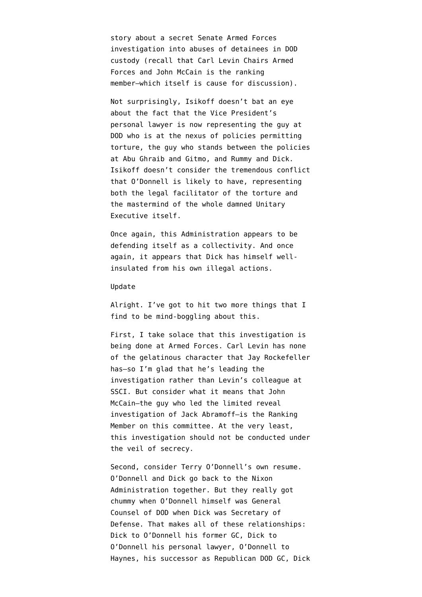story about a secret Senate Armed Forces investigation into abuses of detainees in DOD custody (recall that Carl Levin Chairs Armed Forces and John McCain is the ranking member–which itself is cause for discussion).

Not surprisingly, Isikoff doesn't bat an eye about the fact that the Vice President's personal lawyer is now representing the guy at DOD who is at the nexus of policies permitting torture, the guy who stands between the policies at Abu Ghraib and Gitmo, and Rummy and Dick. Isikoff doesn't consider the tremendous conflict that O'Donnell is likely to have, representing both the legal facilitator of the torture and the mastermind of the whole damned Unitary Executive itself.

Once again, this Administration appears to be defending itself as a collectivity. And once again, it appears that Dick has himself wellinsulated from his own illegal actions.

## Update

Alright. I've got to hit two more things that I find to be mind-boggling about this.

First, I take solace that this investigation is being done at Armed Forces. Carl Levin has none of the gelatinous character that Jay Rockefeller has–so I'm glad that he's leading the investigation rather than Levin's colleague at SSCI. But consider what it means that John McCain–the guy who led the limited reveal investigation of Jack Abramoff–is the Ranking Member on this committee. At the very least, this investigation should not be conducted under the veil of secrecy.

Second, consider Terry O'Donnell's own resume. O'Donnell and Dick go back to the Nixon Administration together. But they really got chummy when O'Donnell himself was [General](http://www.wc.com/attorney.cfm?attorney_id=237) [Counsel of DOD](http://www.wc.com/attorney.cfm?attorney_id=237) when Dick was Secretary of Defense. That makes all of these relationships: Dick to O'Donnell his former GC, Dick to O'Donnell his personal lawyer, O'Donnell to Haynes, his successor as Republican DOD GC, Dick